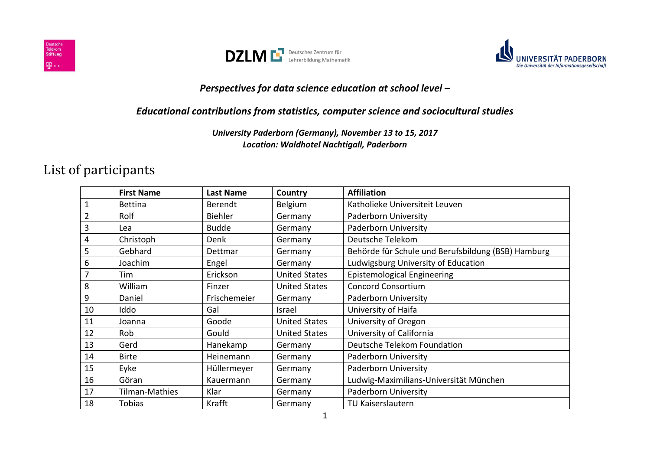





## *Perspectives for data science education at school level –*

## *Educational contributions from statistics, computer science and sociocultural studies*

*University Paderborn (Germany), November 13 to 15, 2017 Location: Waldhotel Nachtigall, Paderborn*

## List of participants

|                 | <b>First Name</b>     | <b>Last Name</b> | Country              | <b>Affiliation</b>                                 |
|-----------------|-----------------------|------------------|----------------------|----------------------------------------------------|
| $\mathbf{1}$    | <b>Bettina</b>        | <b>Berendt</b>   | Belgium              | Katholieke Universiteit Leuven                     |
| $\overline{2}$  | Rolf                  | Biehler          | Germany              | Paderborn University                               |
| 3               | Lea                   | <b>Budde</b>     | Germany              | <b>Paderborn University</b>                        |
| 4               | Christoph             | Denk             | Germany              | Deutsche Telekom                                   |
| 5               | Gebhard               | Dettmar          | Germany              | Behörde für Schule und Berufsbildung (BSB) Hamburg |
| $6\phantom{1}6$ | Joachim               | Engel            | Germany              | Ludwigsburg University of Education                |
| $\overline{7}$  | Tim                   | Erickson         | <b>United States</b> | <b>Epistemological Engineering</b>                 |
| 8               | William               | Finzer           | <b>United States</b> | <b>Concord Consortium</b>                          |
| $9\,$           | Daniel                | Frischemeier     | Germany              | Paderborn University                               |
| 10              | Iddo                  | Gal              | Israel               | University of Haifa                                |
| 11              | Joanna                | Goode            | <b>United States</b> | University of Oregon                               |
| 12              | Rob                   | Gould            | <b>United States</b> | University of California                           |
| 13              | Gerd                  | Hanekamp         | Germany              | Deutsche Telekom Foundation                        |
| 14              | <b>Birte</b>          | Heinemann        | Germany              | Paderborn University                               |
| 15              | Eyke                  | Hüllermeyer      | Germany              | Paderborn University                               |
| 16              | Göran                 | Kauermann        | Germany              | Ludwig-Maximilians-Universität München             |
| 17              | <b>Tilman-Mathies</b> | Klar             | Germany              | Paderborn University                               |
| 18              | <b>Tobias</b>         | Krafft           | Germany              | TU Kaiserslautern                                  |